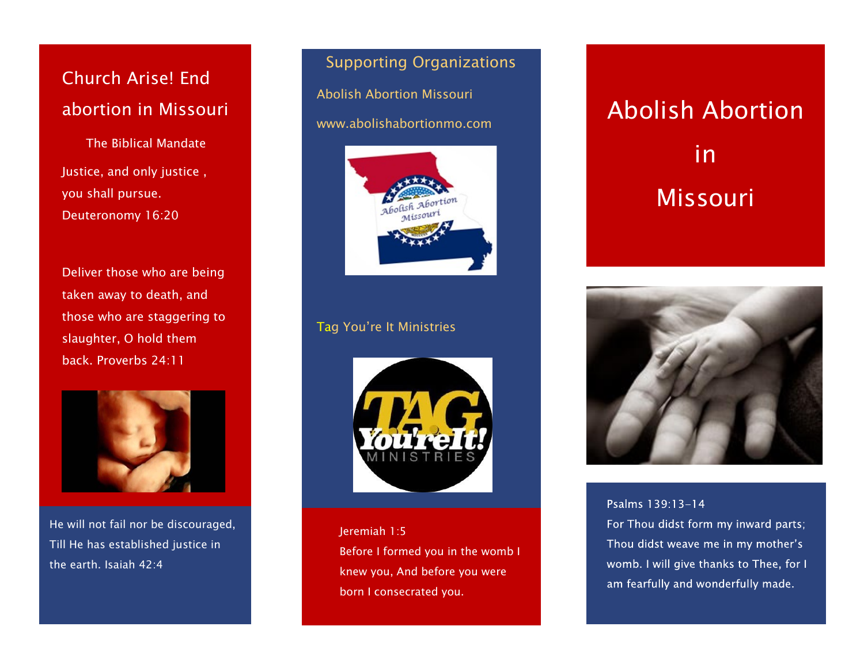# Church Arise! End abortion in Missouri

The Biblical Mandate Justice, and only justice , you shall pursue. Deuteronomy 16:20

Deliver those who are being taken away to death, and those who are staggering to slaughter, O hold them back. Proverbs 24:11



He will not fail nor be discouraged, Till He has established justice in the earth. Isaiah 42:4

## Supporting Organizations

 Abolish Abortion Missouri www.abolishabortionmo.com



## Tag You're It Ministries



Jeremiah 1:5 Before I formed you in the womb I knew you, And before you were born I consecrated you.

Abolish Abortion in Missouri



Psalms 139:13-14 For Thou didst form my inward parts; Thou didst weave me in my mother's womb. I will give thanks to Thee, for I am fearfully and wonderfully made.